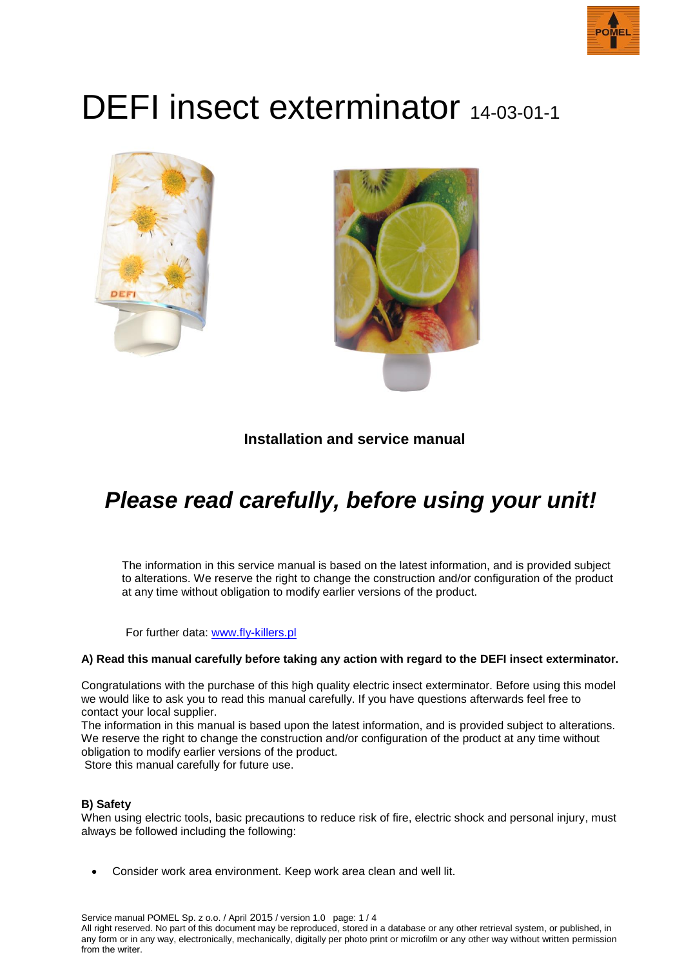

# DEFI insect exterminator 14-03-01-1





### **Installation and service manual**

## *Please read carefully, before using your unit!*

The information in this service manual is based on the latest information, and is provided subject to alterations. We reserve the right to change the construction and/or configuration of the product at any time without obligation to modify earlier versions of the product.

For further data: [www.fly-killers.pl](http://www.fly-killers.pl/)

#### **A) Read this manual carefully before taking any action with regard to the DEFI insect exterminator.**

Congratulations with the purchase of this high quality electric insect exterminator. Before using this model we would like to ask you to read this manual carefully. If you have questions afterwards feel free to contact your local supplier.

The information in this manual is based upon the latest information, and is provided subject to alterations. We reserve the right to change the construction and/or configuration of the product at any time without obligation to modify earlier versions of the product.

Store this manual carefully for future use.

#### **B) Safety**

When using electric tools, basic precautions to reduce risk of fire, electric shock and personal injury, must always be followed including the following:

Consider work area environment. Keep work area clean and well lit.

Service manual POMEL Sp. z o.o. / April 2015 / version 1.0 page: 1 / 4 All right reserved. No part of this document may be reproduced, stored in a database or any other retrieval system, or published, in any form or in any way, electronically, mechanically, digitally per photo print or microfilm or any other way without written permission from the writer.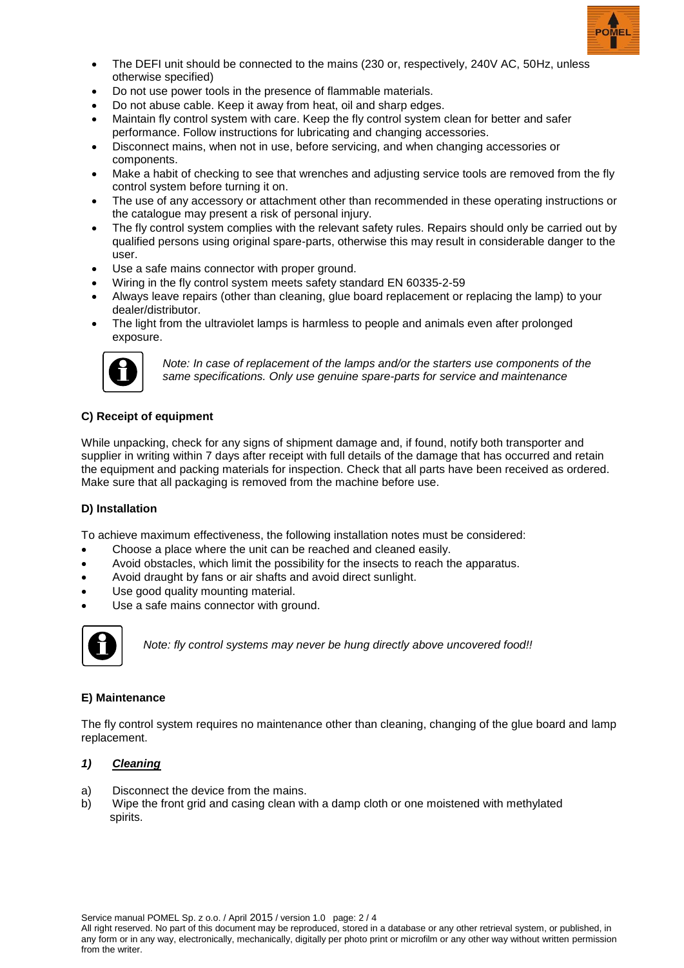

- The DEFI unit should be connected to the mains (230 or, respectively, 240V AC, 50Hz, unless otherwise specified)
- Do not use power tools in the presence of flammable materials.
- Do not abuse cable. Keep it away from heat, oil and sharp edges.
- Maintain fly control system with care. Keep the fly control system clean for better and safer performance. Follow instructions for lubricating and changing accessories.
- Disconnect mains, when not in use, before servicing, and when changing accessories or components.
- Make a habit of checking to see that wrenches and adjusting service tools are removed from the fly control system before turning it on.
- The use of any accessory or attachment other than recommended in these operating instructions or the catalogue may present a risk of personal injury.
- The fly control system complies with the relevant safety rules. Repairs should only be carried out by qualified persons using original spare-parts, otherwise this may result in considerable danger to the user.
- Use a safe mains connector with proper ground.
- Wiring in the fly control system meets safety standard EN 60335-2-59
- Always leave repairs (other than cleaning, glue board replacement or replacing the lamp) to your dealer/distributor.
- The light from the ultraviolet lamps is harmless to people and animals even after prolonged exposure.



*Note: In case of replacement of the lamps and/or the starters use components of the same specifications. Only use genuine spare-parts for service and maintenance*

#### **C) Receipt of equipment**

While unpacking, check for any signs of shipment damage and, if found, notify both transporter and supplier in writing within 7 days after receipt with full details of the damage that has occurred and retain the equipment and packing materials for inspection. Check that all parts have been received as ordered. Make sure that all packaging is removed from the machine before use.

#### **D) Installation**

To achieve maximum effectiveness, the following installation notes must be considered:

- Choose a place where the unit can be reached and cleaned easily.
- Avoid obstacles, which limit the possibility for the insects to reach the apparatus.
- Avoid draught by fans or air shafts and avoid direct sunlight.
- Use good quality mounting material.
- Use a safe mains connector with ground.



*Note: fly control systems may never be hung directly above uncovered food!!*

#### **E) Maintenance**

The fly control system requires no maintenance other than cleaning, changing of the glue board and lamp replacement.

#### *1) Cleaning*

- a) Disconnect the device from the mains.
- b) Wipe the front grid and casing clean with a damp cloth or one moistened with methylated spirits.

Service manual POMEL Sp. z o.o. / April 2015 / version 1.0 page: 2 / 4 All right reserved. No part of this document may be reproduced, stored in a database or any other retrieval system, or published, in any form or in any way, electronically, mechanically, digitally per photo print or microfilm or any other way without written permission from the writer.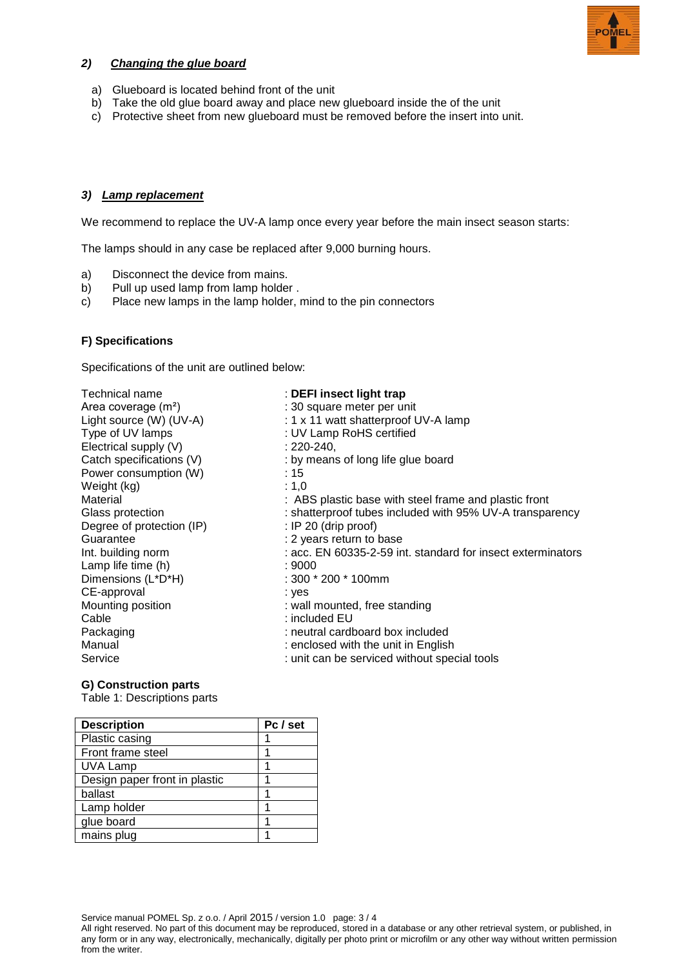

#### *2) Changing the glue board*

- a) Glueboard is located behind front of the unit
- b) Take the old glue board away and place new glueboard inside the of the unit
- c) Protective sheet from new glueboard must be removed before the insert into unit.

#### *3) Lamp replacement*

We recommend to replace the UV-A lamp once every year before the main insect season starts:

The lamps should in any case be replaced after 9,000 burning hours.

- a) Disconnect the device from mains.
- b) Pull up used lamp from lamp holder.
- c) Place new lamps in the lamp holder, mind to the pin connectors

#### **F) Specifications**

Specifications of the unit are outlined below:

| Technical name            | : DEFI insect light trap                                    |
|---------------------------|-------------------------------------------------------------|
| Area coverage $(m^2)$     | : 30 square meter per unit                                  |
| Light source (W) (UV-A)   | : 1 x 11 watt shatterproof UV-A lamp                        |
| Type of UV lamps          | : UV Lamp RoHS certified                                    |
| Electrical supply (V)     | $: 220 - 240.$                                              |
| Catch specifications (V)  | : by means of long life glue board                          |
| Power consumption (W)     | :15                                                         |
| Weight (kg)               | : $1,0$                                                     |
| Material                  | : ABS plastic base with steel frame and plastic front       |
| Glass protection          | : shatterproof tubes included with 95% UV-A transparency    |
| Degree of protection (IP) | : IP 20 (drip proof)                                        |
| Guarantee                 | : 2 years return to base                                    |
| Int. building norm        | : acc. EN 60335-2-59 int. standard for insect exterminators |
| Lamp life time (h)        | : 9000                                                      |
| Dimensions (L*D*H)        | $:300 * 200 * 100$ mm                                       |
| CE-approval               | : yes                                                       |
| Mounting position         | : wall mounted, free standing                               |
| Cable                     | $:$ included $EU$                                           |
| Packaging                 | : neutral cardboard box included                            |
| Manual                    | : enclosed with the unit in English                         |
| Service                   | : unit can be serviced without special tools                |

#### **G) Construction parts**

Table 1: Descriptions parts

| <b>Description</b>            | Pc / set |
|-------------------------------|----------|
| Plastic casing                |          |
| Front frame steel             |          |
| <b>UVA Lamp</b>               |          |
| Design paper front in plastic |          |
| ballast                       |          |
| Lamp holder                   |          |
| glue board                    |          |
| mains plug                    |          |

Service manual POMEL Sp. z o.o. / April 2015 / version 1.0 page: 3 / 4

All right reserved. No part of this document may be reproduced, stored in a database or any other retrieval system, or published, in any form or in any way, electronically, mechanically, digitally per photo print or microfilm or any other way without written permission from the writer.